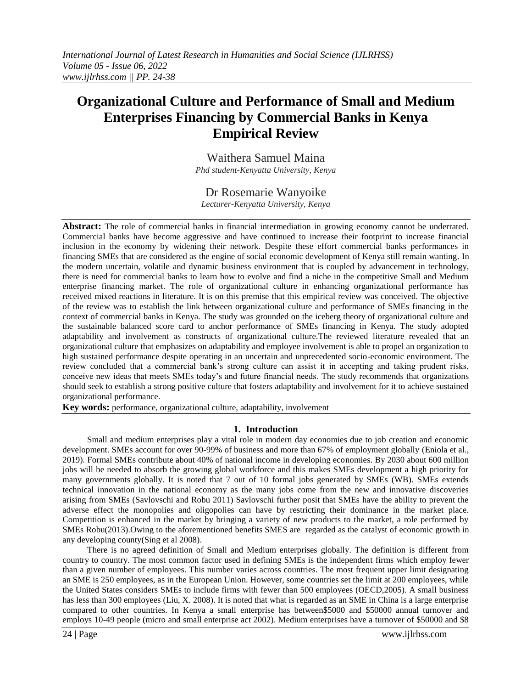# **Organizational Culture and Performance of Small and Medium Enterprises Financing by Commercial Banks in Kenya Empirical Review**

Waithera Samuel Maina *Phd student-Kenyatta University, Kenya*

# Dr Rosemarie Wanyoike

*Lecturer-Kenyatta University, Kenya*

**Abstract:** The role of commercial banks in financial intermediation in growing economy cannot be underrated. Commercial banks have become aggressive and have continued to increase their footprint to increase financial inclusion in the economy by widening their network. Despite these effort commercial banks performances in financing SMEs that are considered as the engine of social economic development of Kenya still remain wanting. In the modern uncertain, volatile and dynamic business environment that is coupled by advancement in technology, there is need for commercial banks to learn how to evolve and find a niche in the competitive Small and Medium enterprise financing market. The role of organizational culture in enhancing organizational performance has received mixed reactions in literature. It is on this premise that this empirical review was conceived. The objective of the review was to establish the link between organizational culture and performance of SMEs financing in the context of commercial banks in Kenya. The study was grounded on the iceberg theory of organizational culture and the sustainable balanced score card to anchor performance of SMEs financing in Kenya. The study adopted adaptability and involvement as constructs of organizational culture.The reviewed literature revealed that an organizational culture that emphasizes on adaptability and employee involvement is able to propel an organization to high sustained performance despite operating in an uncertain and unprecedented socio-economic environment. The review concluded that a commercial bank's strong culture can assist it in accepting and taking prudent risks, conceive new ideas that meets SMEs today's and future financial needs. The study recommends that organizations should seek to establish a strong positive culture that fosters adaptability and involvement for it to achieve sustained organizational performance.

**Key words:** performance, organizational culture, adaptability, involvement

# **1. Introduction**

Small and medium enterprises play a vital role in modern day economies due to job creation and economic development. SMEs account for over 90-99% of business and more than 67% of employment globally (Eniola et al., 2019). Formal SMEs contribute about 40% of national income in developing economies. By 2030 about 600 million jobs will be needed to absorb the growing global workforce and this makes SMEs development a high priority for many governments globally. It is noted that 7 out of 10 formal jobs generated by SMEs (WB). SMEs extends technical innovation in the national economy as the many jobs come from the new and innovative discoveries arising from SMEs (Savlovschi and Robu 2011) Savlovschi further posit that SMEs have the ability to prevent the adverse effect the monopolies and oligopolies can have by restricting their dominance in the market place. Competition is enhanced in the market by bringing a variety of new products to the market, a role performed by SMEs Robu(2013).Owing to the aforementioned benefits SMES are regarded as the catalyst of economic growth in any developing county(Sing et al 2008).

There is no agreed definition of Small and Medium enterprises globally. The definition is different from country to country. The most common factor used in defining SMEs is the independent firms which employ fewer than a given number of employees. This number varies across countries. The most frequent upper limit designating an SME is 250 employees, as in the European Union. However, some countries set the limit at 200 employees, while the United States considers SMEs to include firms with fewer than 500 employees (OECD,2005). A small business has less than 300 employees (Liu, X. 2008). It is noted that what is regarded as an SME in China is a large enterprise compared to other countries. In Kenya a small enterprise has between\$5000 and \$50000 annual turnover and employs 10-49 people (micro and small enterprise act 2002). Medium enterprises have a turnover of \$50000 and \$8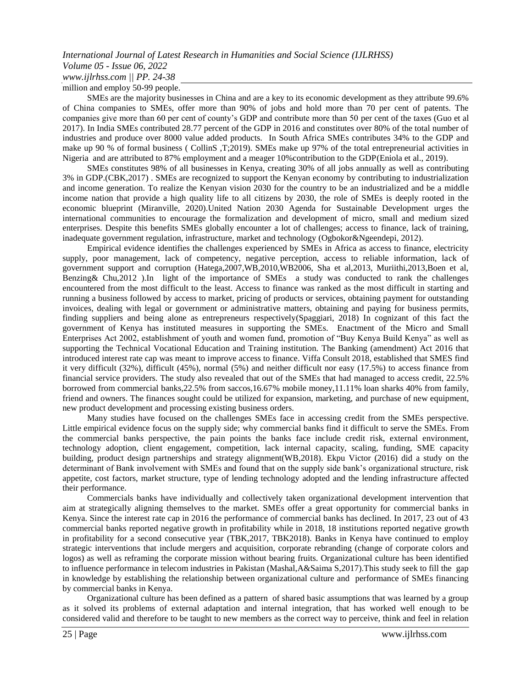million and employ 50-99 people.

SMEs are the majority businesses in China and are a key to its economic development as they attribute 99.6% of China companies to SMEs, offer more than 90% of jobs and hold more than 70 per cent of patents. The companies give more than 60 per cent of county's GDP and contribute more than 50 per cent of the taxes (Guo et al 2017). In India SMEs contributed 28.77 percent of the GDP in 2016 and constitutes over 80% of the total number of industries and produce over 8000 value added products. In South Africa SMEs contributes 34% to the GDP and make up 90 % of formal business ( CollinS ,T;2019). SMEs make up 97% of the total entrepreneurial activities in Nigeria and are attributed to 87% employment and a meager 10%contribution to the GDP(Eniola et al., 2019).

SMEs constitutes 98% of all businesses in Kenya, creating 30% of all jobs annually as well as contributing 3% in GDP.(CBK,2017) . SMEs are recognized to support the Kenyan economy by contributing to industrialization and income generation. To realize the Kenyan vision 2030 for the country to be an industrialized and be a middle income nation that provide a high quality life to all citizens by 2030, the role of SMEs is deeply rooted in the economic blueprint (Miranville, 2020).United Nation 2030 Agenda for Sustainable Development urges the international communities to encourage the formalization and development of micro, small and medium sized enterprises. Despite this benefits SMEs globally encounter a lot of challenges; access to finance, lack of training, inadequate government regulation, infrastructure, market and technology (Ogbokor&Ngeendepi, 2012).

Empirical evidence identifies the challenges experienced by SMEs in Africa as access to finance, electricity supply, poor management, lack of competency, negative perception, access to reliable information, lack of government support and corruption (Hatega,2007,WB,2010,WB2006, Sha et al,2013, Muriithi,2013,Boen et al, Benzing& Chu,2012 ).In light of the importance of SMEs a study was conducted to rank the challenges encountered from the most difficult to the least. Access to finance was ranked as the most difficult in starting and running a business followed by access to market, pricing of products or services, obtaining payment for outstanding invoices, dealing with legal or government or administrative matters, obtaining and paying for business permits, finding suppliers and being alone as entrepreneurs respectively(Spaggiari, 2018) In cognizant of this fact the government of Kenya has instituted measures in supporting the SMEs. Enactment of the Micro and Small Enterprises Act 2002, establishment of youth and women fund, promotion of "Buy Kenya Build Kenya" as well as supporting the Technical Vocational Education and Training institution. The Banking (amendment) Act 2016 that introduced interest rate cap was meant to improve access to finance. Viffa Consult 2018, established that SMES find it very difficult (32%), difficult (45%), normal (5%) and neither difficult nor easy (17.5%) to access finance from financial service providers. The study also revealed that out of the SMEs that had managed to access credit, 22.5% borrowed from commercial banks,22.5% from saccos,16.67% mobile money,11.11% loan sharks 40% from family, friend and owners. The finances sought could be utilized for expansion, marketing, and purchase of new equipment, new product development and processing existing business orders.

Many studies have focused on the challenges SMEs face in accessing credit from the SMEs perspective. Little empirical evidence focus on the supply side; why commercial banks find it difficult to serve the SMEs. From the commercial banks perspective, the pain points the banks face include credit risk, external environment, technology adoption, client engagement, competition, lack internal capacity, scaling, funding, SME capacity building, product design partnerships and strategy alignment(WB,2018). Ekpu Victor (2016) did a study on the determinant of Bank involvement with SMEs and found that on the supply side bank's organizational structure, risk appetite, cost factors, market structure, type of lending technology adopted and the lending infrastructure affected their performance.

Commercials banks have individually and collectively taken organizational development intervention that aim at strategically aligning themselves to the market. SMEs offer a great opportunity for commercial banks in Kenya. Since the interest rate cap in 2016 the performance of commercial banks has declined. In 2017, 23 out of 43 commercial banks reported negative growth in profitability while in 2018, 18 institutions reported negative growth in profitability for a second consecutive year (TBK,2017, TBK2018). Banks in Kenya have continued to employ strategic interventions that include mergers and acquisition, corporate rebranding (change of corporate colors and logos) as well as reframing the corporate mission without bearing fruits. Organizational culture has been identified to influence performance in telecom industries in Pakistan (Mashal,A&Saima S,2017).This study seek to fill the gap in knowledge by establishing the relationship between organizational culture and performance of SMEs financing by commercial banks in Kenya.

Organizational culture has been defined as a pattern of shared basic assumptions that was learned by a group as it solved its problems of external adaptation and internal integration, that has worked well enough to be considered valid and therefore to be taught to new members as the correct way to perceive, think and feel in relation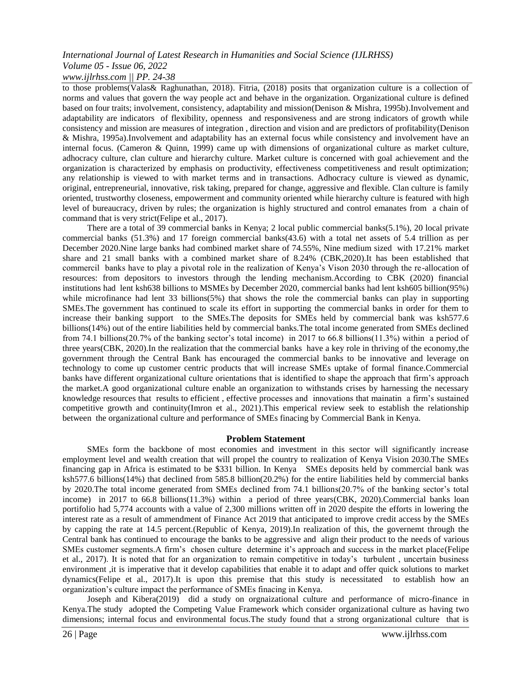to those problems(Valas& Raghunathan, 2018). Fitria, (2018) posits that organization culture is a collection of norms and values that govern the way people act and behave in the organization. Organizational culture is defined based on four traits; involvement, consistency, adaptability and mission(Denison & Mishra, 1995b).Involvement and adaptability are indicators of flexibility, openness and responsiveness and are strong indicators of growth while consistency and mission are measures of integration , direction and vision and are predictors of profitability(Denison & Mishra, 1995a).Involvement and adaptability has an external focus while consistency and involvement have an internal focus. (Cameron & Quinn, 1999) came up with dimensions of organizational culture as market culture, adhocracy culture, clan culture and hierarchy culture. Market culture is concerned with goal achievement and the organization is characterized by emphasis on productivity, effectiveness competitiveness and result optimization; any relationship is viewed to with market terms and in transactions. Adhocracy culture is viewed as dynamic, original, entrepreneurial, innovative, risk taking, prepared for change, aggressive and flexible. Clan culture is family oriented, trustworthy closeness, empowerment and community oriented while hierarchy culture is featured with high level of bureaucracy, driven by rules; the organization is highly structured and control emanates from a chain of command that is very strict(Felipe et al., 2017).

There are a total of 39 commercial banks in Kenya; 2 local public commercial banks(5.1%), 20 local private commercial banks (51.3%) and 17 foreign commercial banks(43.6) with a total net assets of 5.4 trillion as per December 2020.Nine large banks had combined market share of 74.55%, Nine medium sized with 17.21% market share and 21 small banks with a combined market share of 8.24% (CBK,2020).It has been established that commercil banks have to play a pivotal role in the realization of Kenya's Vison 2030 through the re-allocation of resources: from depositors to investors through the lending mechanism.According to CBK (2020) financial institutions had lent ksh638 billions to MSMEs by December 2020, commercial banks had lent ksh605 billion(95%) while microfinance had lent 33 billions(5%) that shows the role the commercial banks can play in supporting SMEs.The government has continued to scale its effort in supporting the commercial banks in order for them to increase their banking support to the SMEs.The deposits for SMEs held by commercial bank was ksh577.6 billions(14%) out of the entire liabilities held by commercial banks.The total income generated from SMEs declined from 74.1 billions(20.7% of the banking sector's total income) in 2017 to 66.8 billions(11.3%) within a period of three years(CBK, 2020).In the realization that the commercial banks have a key role in thriving of the economy,the government through the Central Bank has encouraged the commercial banks to be innovative and leverage on technology to come up customer centric products that will increase SMEs uptake of formal finance.Commercial banks have different organizational culture orientations that is identified to shape the approach that firm's approach the market.A good organizational culture enable an organization to withstands crises by harnessing the necessary knowledge resources that results to efficient , effective processes and innovations that mainatin a firm's sustained competitive growth and continuity(Imron et al., 2021).This emperical review seek to establish the relationship between the organizational culture and performance of SMEs finacing by Commercial Bank in Kenya.

# **Problem Statement**

SMEs form the backbone of most economies and investment in this sector will significantly increase employment level and wealth creation that will propel the country to realization of Kenya Vision 2030.The SMEs financing gap in Africa is estimated to be \$331 billion. In Kenya SMEs deposits held by commercial bank was ksh577.6 billions(14%) that declined from 585.8 billion(20.2%) for the entire liabilities held by commercial banks by 2020.The total income generated from SMEs declined from 74.1 billions(20.7% of the banking sector's total income) in 2017 to 66.8 billions(11.3%) within a period of three years(CBK, 2020).Commercial banks loan portifolio had 5,774 accounts with a value of 2,300 millions written off in 2020 despite the efforts in lowering the interest rate as a result of ammendment of Finance Act 2019 that anticipated to improve credit access by the SMEs by capping the rate at 14.5 percent.(Republic of Kenya, 2019).In realization of this, the governemt through the Central bank has continued to encourage the banks to be aggressive and align their product to the needs of various SMEs customer segments.A firm's chosen culture determine it's approach and success in the market place(Felipe et al., 2017). It is noted that for an organization to remain competitive in today's turbulent , uncertain business environment ,it is imperative that it develop capabilities that enable it to adapt and offer quick solutions to market dynamics(Felipe et al., 2017).It is upon this premise that this study is necessitated to establish how an organization's culture impact the performance of SMEs finacing in Kenya.

Joseph and Kibera(2019) did a study on orgnaizational culture and performance of micro-finance in Kenya.The study adopted the Competing Value Framework which consider organizational culture as having two dimensions; internal focus and environmental focus.The study found that a strong organizational culture that is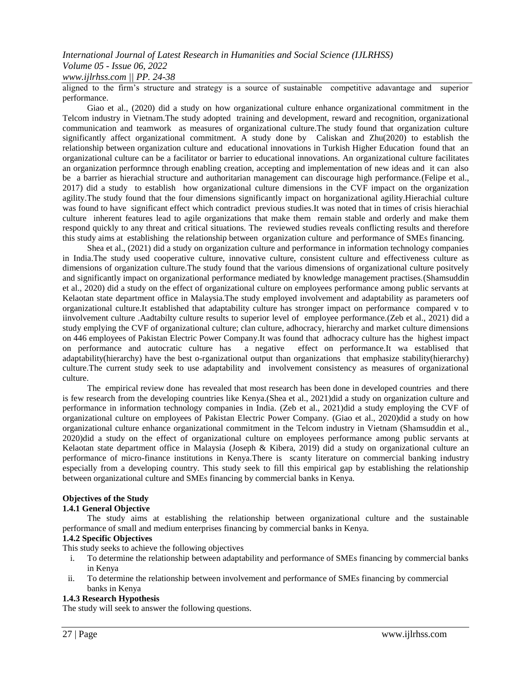aligned to the firm's structure and strategy is a source of sustainable competitive adavantage and superior performance.

Giao et al., (2020) did a study on how organizational culture enhance organizational commitment in the Telcom industry in Vietnam.The study adopted training and development, reward and recognition, organizational communication and teamwork as measures of organizational culture.The study found that organization culture significantly affect organizational commitment. A study done by Caliskan and Zhu(2020) to establish the relationship between organization culture and educational innovations in Turkish Higher Education found that an organizational culture can be a facilitator or barrier to educational innovations. An organizational culture facilitates an organization performnce through enabling creation, accepting and implementation of new ideas and it can also be a barrier as hierachial structure and authoritarian management can discourage high performance.(Felipe et al., 2017) did a study to establish how organizational culture dimensions in the CVF impact on the organization agility.The study found that the four dimensions significantly impact on horganizational agility.Hierachial culture was found to have significant effect which contradict previous studies.It was noted that in times of crisis hierachial culture inherent features lead to agile organizations that make them remain stable and orderly and make them respond quickly to any threat and critical situations. The reviewed studies reveals conflicting results and therefore this study aims at establishing the relationship between organization culture and performance of SMEs financing.

Shea et al., (2021) did a study on organization culture and performance in information technology companies in India.The study used cooperative culture, innovative culture, consistent culture and effectiveness culture as dimensions of organization culture.The study found that the various dimensions of organizational culture positvely and significantly impact on organizational performance mediated by knowledge management practises.(Shamsuddin et al., 2020) did a study on the effect of organizational culture on employees performance among public servants at Kelaotan state department office in Malaysia.The study employed involvement and adaptability as parameters oof organizational culture.It established that adaptability culture has stronger impact on performance compared v to iinvolvement culture .Aadtabilty culture results to superior level of employee performance.(Zeb et al., 2021) did a study emplying the CVF of organizational culture; clan culture, adhocracy, hierarchy and market culture dimensions on 446 employees of Pakistan Electric Power Company.It was found that adhocracy culture has the highest impact on performance and autocratic culture has a negative effect on performance.It wa establised that adaptability(hierarchy) have the best o-rganizational output than organizations that emphasize stability(hierarchy) culture.The current study seek to use adaptability and involvement consistency as measures of organizational culture.

The empirical review done has revealed that most research has been done in developed countries and there is few research from the developing countries like Kenya.(Shea et al., 2021)did a study on organization culture and performance in information technology companies in India. (Zeb et al., 2021)did a study employing the CVF of organizational culture on employees of Pakistan Electric Power Company. (Giao et al., 2020)did a study on how organizational culture enhance organizational commitment in the Telcom industry in Vietnam (Shamsuddin et al., 2020)did a study on the effect of organizational culture on employees performance among public servants at Kelaotan state department office in Malaysia (Joseph & Kibera, 2019) did a study on organizational culture an performance of micro-finance institutions in Kenya.There is scanty literature on commercial banking industry especially from a developing country. This study seek to fill this empirical gap by establishing the relationship between organizational culture and SMEs financing by commercial banks in Kenya.

# **Objectives of the Study**

# **1.4.1 General Objective**

The study aims at establishing the relationship between organizational culture and the sustainable performance of small and medium enterprises financing by commercial banks in Kenya.

# **1.4.2 Specific Objectives**

This study seeks to achieve the following objectives

- i. To determine the relationship between adaptability and performance of SMEs financing by commercial banks in Kenya
- ii. To determine the relationship between involvement and performance of SMEs financing by commercial banks in Kenya

# **1.4.3 Research Hypothesis**

The study will seek to answer the following questions.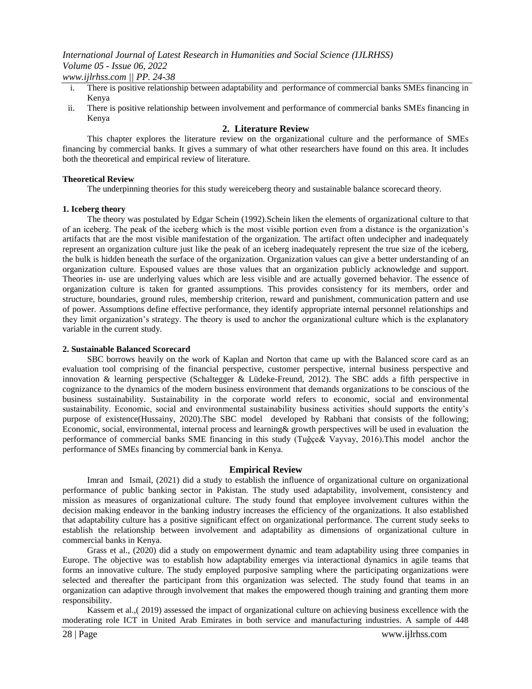- i. There is positive relationship between adaptability and performance of commercial banks SMEs financing in Kenya
- ii. There is positive relationship between involvement and performance of commercial banks SMEs financing in Kenya

# **2. Literature Review**

This chapter explores the literature review on the organizational culture and the performance of SMEs financing by commercial banks. It gives a summary of what other researchers have found on this area. It includes both the theoretical and empirical review of literature.

# **Theoretical Review**

The underpinning theories for this study wereiceberg theory and sustainable balance scorecard theory.

# **1. Iceberg theory**

The theory was postulated by Edgar Schein (1992).Schein liken the elements of organizational culture to that of an iceberg. The peak of the iceberg which is the most visible portion even from a distance is the organization's artifacts that are the most visible manifestation of the organization. The artifact often undecipher and inadequately represent an organization culture just like the peak of an iceberg inadequately represent the true size of the iceberg, the bulk is hidden beneath the surface of the organization. Organization values can give a better understanding of an organization culture. Espoused values are those values that an organization publicly acknowledge and support. Theories in- use are underlying values which are less visible and are actually governed behavior. The essence of organization culture is taken for granted assumptions. This provides consistency for its members, order and structure, boundaries, ground rules, membership criterion, reward and punishment, communication pattern and use of power. Assumptions define effective performance, they identify appropriate internal personnel relationships and they limit organization's strategy. The theory is used to anchor the organizational culture which is the explanatory variable in the current study.

# **2. Sustainable Balanced Scorecard**

SBC borrows heavily on the work of Kaplan and Norton that came up with the Balanced score card as an evaluation tool comprising of the financial perspective, customer perspective, internal business perspective and innovation & learning perspective (Schaltegger & Lüdeke-Freund, 2012). The SBC adds a fifth perspective in cognizance to the dynamics of the modern business environment that demands organizations to be conscious of the business sustainability. Sustainability in the corporate world refers to economic, social and environmental sustainability. Economic, social and environmental sustainability business activities should supports the entity's purpose of existence(Hussainy, 2020).The SBC model developed by Rabbani that consists of the following; Economic, social, environmental, internal process and learning& growth perspectives will be used in evaluation the performance of commercial banks SME financing in this study (Tuğçe& Vayvay, 2016).This model anchor the performance of SMEs financing by commercial bank in Kenya.

# **Empirical Review**

Imran and Ismail, (2021) did a study to establish the influence of organizational culture on organizational performance of public banking sector in Pakistan. The study used adaptability, involvement, consistency and mission as measures of organizational culture. The study found that employee involvement cultures within the decision making endeavor in the banking industry increases the efficiency of the organizations. It also established that adaptability culture has a positive significant effect on organizational performance. The current study seeks to establish the relationship between involvement and adaptability as dimensions of organizational culture in commercial banks in Kenya.

Grass et al., (2020) did a study on empowerment dynamic and team adaptability using three companies in Europe. The objective was to establish how adaptability emerges via interactional dynamics in agile teams that forms an innovative culture. The study employed purposive sampling where the participating organizations were selected and thereafter the participant from this organization was selected. The study found that teams in an organization can adaptive through involvement that makes the empowered though training and granting them more responsibility.

Kassem et al.,( 2019) assessed the impact of organizational culture on achieving business excellence with the moderating role ICT in United Arab Emirates in both service and manufacturing industries. A sample of 448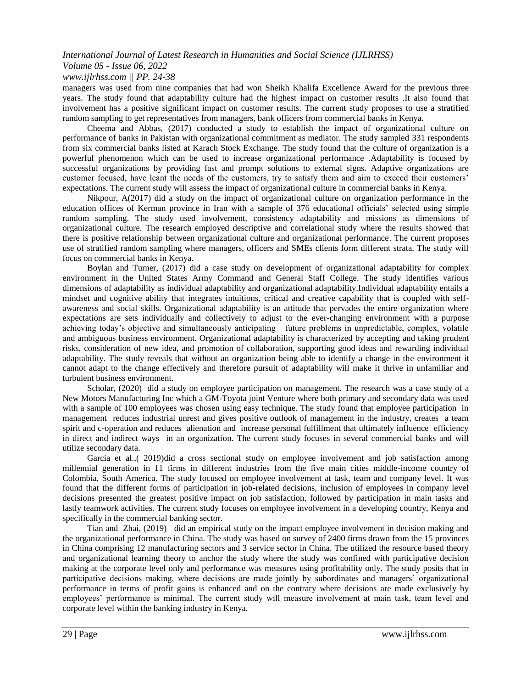managers was used from nine companies that had won Sheikh Khalifa Excellence Award for the previous three years. The study found that adaptability culture had the highest impact on customer results .It also found that involvement has a positive significant impact on customer results. The current study proposes to use a stratified random sampling to get representatives from managers, bank officers from commercial banks in Kenya.

Cheema and Abbas, (2017) conducted a study to establish the impact of organizational culture on performance of banks in Pakistan with organizational commitment as mediator. The study sampled 331 respondents from six commercial banks listed at Karach Stock Exchange. The study found that the culture of organization is a powerful phenomenon which can be used to increase organizational performance .Adaptability is focused by successful organizations by providing fast and prompt solutions to external signs. Adaptive organizations are customer focused, have leant the needs of the customers, try to satisfy them and aim to exceed their customers' expectations. The current study will assess the impact of organizational culture in commercial banks in Kenya.

Nikpour, A(2017) did a study on the impact of organizational culture on organization performance in the education offices of Kerman province in Iran with a sample of 376 educational officials' selected using simple random sampling. The study used involvement, consistency adaptability and missions as dimensions of organizational culture. The research employed descriptive and correlational study where the results showed that there is positive relationship between organizational culture and organizational performance. The current proposes use of stratified random sampling where managers, officers and SMEs clients form different strata. The study will focus on commercial banks in Kenya.

Boylan and Turner, (2017) did a case study on development of organizational adaptability for complex environment in the United States Army Command and General Staff College. The study identifies various dimensions of adaptability as individual adaptability and organizational adaptability.Individual adaptability entails a mindset and cognitive ability that integrates intuitions, critical and creative capability that is coupled with selfawareness and social skills. Organizational adaptability is an attitude that pervades the entire organization where expectations are sets individually and collectively to adjust to the ever-changing environment with a purpose achieving today's objective and simultaneously anticipating future problems in unpredictable, complex, volatile and ambiguous business environment. Organizational adaptability is characterized by accepting and taking prudent risks, consideration of new idea, and promotion of collaboration, supporting good ideas and rewarding individual adaptability. The study reveals that without an organization being able to identify a change in the environment it cannot adapt to the change effectively and therefore pursuit of adaptability will make it thrive in unfamiliar and turbulent business environment.

Scholar, (2020) did a study on employee participation on management. The research was a case study of a New Motors Manufacturing Inc which a GM-Toyota joint Venture where both primary and secondary data was used with a sample of 100 employees was chosen using easy technique. The study found that employee participation in management reduces industrial unrest and gives positive outlook of management in the industry, creates a team spirit and c-operation and reduces alienation and increase personal fulfillment that ultimately influence efficiency in direct and indirect ways in an organization. The current study focuses in several commercial banks and will utilize secondary data.

García et al.,( 2019)did a cross sectional study on employee involvement and job satisfaction among millennial generation in 11 firms in different industries from the five main cities middle-income country of Colombia, South America. The study focused on employee involvement at task, team and company level. It was found that the different forms of participation in job-related decisions, inclusion of employees in company level decisions presented the greatest positive impact on job satisfaction, followed by participation in main tasks and lastly teamwork activities. The current study focuses on employee involvement in a developing country, Kenya and specifically in the commercial banking sector.

Tian and Zhai, (2019) did an empirical study on the impact employee involvement in decision making and the organizational performance in China. The study was based on survey of 2400 firms drawn from the 15 provinces in China comprising 12 manufacturing sectors and 3 service sector in China. The utilized the resource based theory and organizational learning theory to anchor the study where the study was confined with participative decision making at the corporate level only and performance was measures using profitability only. The study posits that in participative decisions making, where decisions are made jointly by subordinates and managers' organizational performance in terms of profit gains is enhanced and on the contrary where decisions are made exclusively by employees' performance is minimal. The current study will measure involvement at main task, team level and corporate level within the banking industry in Kenya.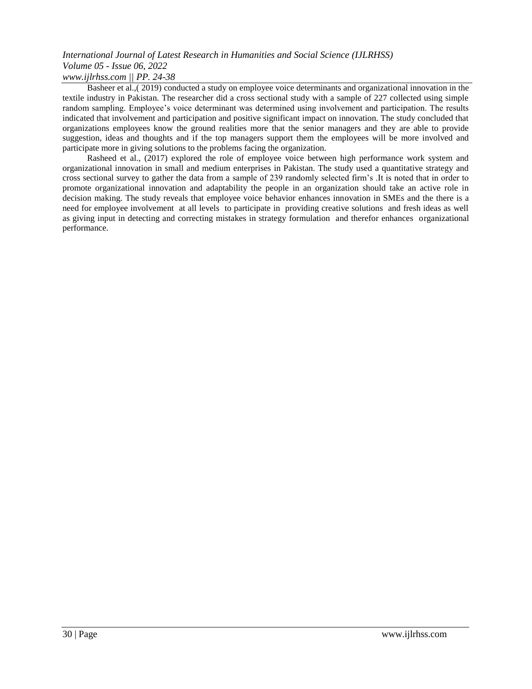Basheer et al.,( 2019) conducted a study on employee voice determinants and organizational innovation in the textile industry in Pakistan. The researcher did a cross sectional study with a sample of 227 collected using simple random sampling. Employee's voice determinant was determined using involvement and participation. The results indicated that involvement and participation and positive significant impact on innovation. The study concluded that organizations employees know the ground realities more that the senior managers and they are able to provide suggestion, ideas and thoughts and if the top managers support them the employees will be more involved and participate more in giving solutions to the problems facing the organization.

Rasheed et al., (2017) explored the role of employee voice between high performance work system and organizational innovation in small and medium enterprises in Pakistan. The study used a quantitative strategy and cross sectional survey to gather the data from a sample of 239 randomly selected firm's .It is noted that in order to promote organizational innovation and adaptability the people in an organization should take an active role in decision making. The study reveals that employee voice behavior enhances innovation in SMEs and the there is a need for employee involvement at all levels to participate in providing creative solutions and fresh ideas as well as giving input in detecting and correcting mistakes in strategy formulation and therefor enhances organizational performance.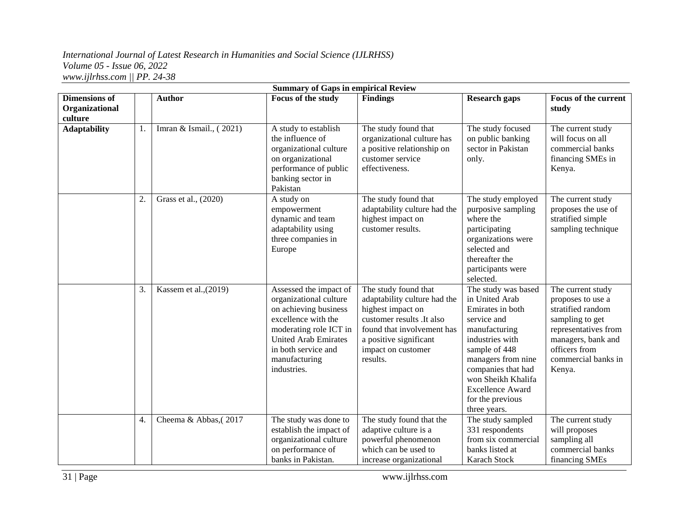| <b>Summary of Gaps in empirical Review</b>        |    |                         |                                                                                                                                                                                                                  |                                                                                                                                                                                                  |                                                                                                                                                                                                                                                                |                                                                                                                                                                                |
|---------------------------------------------------|----|-------------------------|------------------------------------------------------------------------------------------------------------------------------------------------------------------------------------------------------------------|--------------------------------------------------------------------------------------------------------------------------------------------------------------------------------------------------|----------------------------------------------------------------------------------------------------------------------------------------------------------------------------------------------------------------------------------------------------------------|--------------------------------------------------------------------------------------------------------------------------------------------------------------------------------|
| <b>Dimensions of</b><br>Organizational<br>culture |    | <b>Author</b>           | Focus of the study                                                                                                                                                                                               | <b>Findings</b>                                                                                                                                                                                  | <b>Research gaps</b>                                                                                                                                                                                                                                           | <b>Focus of the current</b><br>study                                                                                                                                           |
| <b>Adaptability</b>                               | 1. | Imran & Ismail., (2021) | A study to establish<br>the influence of<br>organizational culture<br>on organizational<br>performance of public<br>banking sector in<br>Pakistan                                                                | The study found that<br>organizational culture has<br>a positive relationship on<br>customer service<br>effectiveness.                                                                           | The study focused<br>on public banking<br>sector in Pakistan<br>only.                                                                                                                                                                                          | The current study<br>will focus on all<br>commercial banks<br>financing SMEs in<br>Kenya.                                                                                      |
|                                                   | 2. | Grass et al., (2020)    | A study on<br>empowerment<br>dynamic and team<br>adaptability using<br>three companies in<br>Europe                                                                                                              | The study found that<br>adaptability culture had the<br>highest impact on<br>customer results.                                                                                                   | The study employed<br>purposive sampling<br>where the<br>participating<br>organizations were<br>selected and<br>thereafter the<br>participants were<br>selected.                                                                                               | The current study<br>proposes the use of<br>stratified simple<br>sampling technique                                                                                            |
|                                                   | 3. | Kassem et al., (2019)   | Assessed the impact of<br>organizational culture<br>on achieving business<br>excellence with the<br>moderating role ICT in<br><b>United Arab Emirates</b><br>in both service and<br>manufacturing<br>industries. | The study found that<br>adaptability culture had the<br>highest impact on<br>customer results .It also<br>found that involvement has<br>a positive significant<br>impact on customer<br>results. | The study was based<br>in United Arab<br>Emirates in both<br>service and<br>manufacturing<br>industries with<br>sample of 448<br>managers from nine<br>companies that had<br>won Sheikh Khalifa<br><b>Excellence Award</b><br>for the previous<br>three years. | The current study<br>proposes to use a<br>stratified random<br>sampling to get<br>representatives from<br>managers, bank and<br>officers from<br>commercial banks in<br>Kenya. |
|                                                   | 4. | Cheema & Abbas, (2017   | The study was done to<br>establish the impact of<br>organizational culture<br>on performance of<br>banks in Pakistan.                                                                                            | The study found that the<br>adaptive culture is a<br>powerful phenomenon<br>which can be used to<br>increase organizational                                                                      | The study sampled<br>331 respondents<br>from six commercial<br>banks listed at<br>Karach Stock                                                                                                                                                                 | The current study<br>will proposes<br>sampling all<br>commercial banks<br>financing SMEs                                                                                       |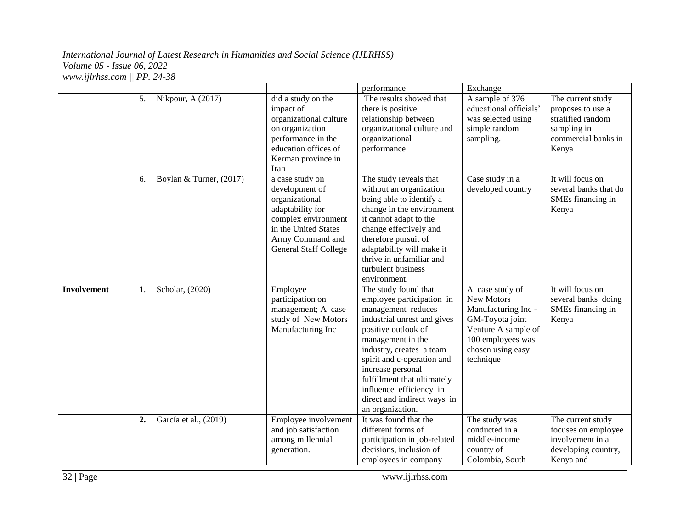|                    |    |                         |                                                                                                                                                                            | performance                                                                                                                                                                                                                                                                                                                                    | Exchange                                                                                                                                              |                                                                                                            |
|--------------------|----|-------------------------|----------------------------------------------------------------------------------------------------------------------------------------------------------------------------|------------------------------------------------------------------------------------------------------------------------------------------------------------------------------------------------------------------------------------------------------------------------------------------------------------------------------------------------|-------------------------------------------------------------------------------------------------------------------------------------------------------|------------------------------------------------------------------------------------------------------------|
|                    | 5. | Nikpour, A (2017)       | did a study on the<br>impact of<br>organizational culture<br>on organization<br>performance in the<br>education offices of<br>Kerman province in<br>Iran                   | The results showed that<br>there is positive<br>relationship between<br>organizational culture and<br>organizational<br>performance                                                                                                                                                                                                            | A sample of 376<br>educational officials'<br>was selected using<br>simple random<br>sampling.                                                         | The current study<br>proposes to use a<br>stratified random<br>sampling in<br>commercial banks in<br>Kenya |
|                    | 6. | Boylan & Turner, (2017) | a case study on<br>development of<br>organizational<br>adaptability for<br>complex environment<br>in the United States<br>Army Command and<br><b>General Staff College</b> | The study reveals that<br>without an organization<br>being able to identify a<br>change in the environment<br>it cannot adapt to the<br>change effectively and<br>therefore pursuit of<br>adaptability will make it<br>thrive in unfamiliar and<br>turbulent business<br>environment.                                                          | Case study in a<br>developed country                                                                                                                  | It will focus on<br>several banks that do<br>SMEs financing in<br>Kenya                                    |
| <b>Involvement</b> | 1. | Scholar, (2020)         | Employee<br>participation on<br>management; A case<br>study of New Motors<br>Manufacturing Inc                                                                             | The study found that<br>employee participation in<br>management reduces<br>industrial unrest and gives<br>positive outlook of<br>management in the<br>industry, creates a team<br>spirit and c-operation and<br>increase personal<br>fulfillment that ultimately<br>influence efficiency in<br>direct and indirect ways in<br>an organization. | A case study of<br>New Motors<br>Manufacturing Inc -<br>GM-Toyota joint<br>Venture A sample of<br>100 employees was<br>chosen using easy<br>technique | It will focus on<br>several banks doing<br>SMEs financing in<br>Kenya                                      |
|                    | 2. | García et al., (2019)   | Employee involvement<br>and job satisfaction<br>among millennial<br>generation.                                                                                            | It was found that the<br>different forms of<br>participation in job-related<br>decisions, inclusion of<br>employees in company                                                                                                                                                                                                                 | The study was<br>conducted in a<br>middle-income<br>country of<br>Colombia, South                                                                     | The current study<br>focuses on employee<br>involvement in a<br>developing country,<br>Kenya and           |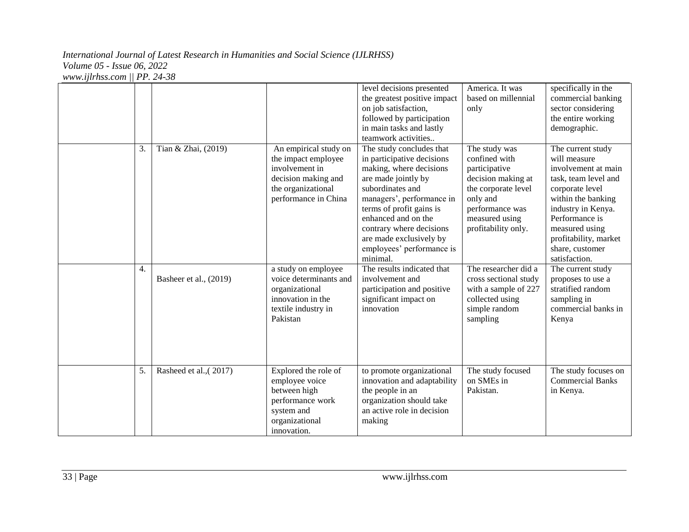|    |                        |                                                                                                                                                  | level decisions presented<br>the greatest positive impact<br>on job satisfaction,<br>followed by participation<br>in main tasks and lastly<br>teamwork activities                                                                                                                                            | America. It was<br>based on millennial<br>only                                                                                                                       | specifically in the<br>commercial banking<br>sector considering<br>the entire working<br>demographic.                                                                                                                                            |
|----|------------------------|--------------------------------------------------------------------------------------------------------------------------------------------------|--------------------------------------------------------------------------------------------------------------------------------------------------------------------------------------------------------------------------------------------------------------------------------------------------------------|----------------------------------------------------------------------------------------------------------------------------------------------------------------------|--------------------------------------------------------------------------------------------------------------------------------------------------------------------------------------------------------------------------------------------------|
| 3. | Tian & Zhai, (2019)    | $\overline{An}$ empirical study on<br>the impact employee<br>involvement in<br>decision making and<br>the organizational<br>performance in China | The study concludes that<br>in participative decisions<br>making, where decisions<br>are made jointly by<br>subordinates and<br>managers', performance in<br>terms of profit gains is<br>enhanced and on the<br>contrary where decisions<br>are made exclusively by<br>employees' performance is<br>minimal. | The study was<br>confined with<br>participative<br>decision making at<br>the corporate level<br>only and<br>performance was<br>measured using<br>profitability only. | The current study<br>will measure<br>involvement at main<br>task, team level and<br>corporate level<br>within the banking<br>industry in Kenya.<br>Performance is<br>measured using<br>profitability, market<br>share, customer<br>satisfaction. |
| 4. | Basheer et al., (2019) | a study on employee<br>voice determinants and<br>organizational<br>innovation in the<br>textile industry in<br>Pakistan                          | The results indicated that<br>involvement and<br>participation and positive<br>significant impact on<br>innovation                                                                                                                                                                                           | The researcher did a<br>cross sectional study<br>with a sample of 227<br>collected using<br>simple random<br>sampling                                                | The current study<br>proposes to use a<br>stratified random<br>sampling in<br>commercial banks in<br>Kenya                                                                                                                                       |
| 5. | Rasheed et al., (2017) | Explored the role of<br>employee voice<br>between high<br>performance work<br>system and<br>organizational<br>innovation.                        | to promote organizational<br>innovation and adaptability<br>the people in an<br>organization should take<br>an active role in decision<br>making                                                                                                                                                             | The study focused<br>on SMEs in<br>Pakistan.                                                                                                                         | The study focuses on<br><b>Commercial Banks</b><br>in Kenya.                                                                                                                                                                                     |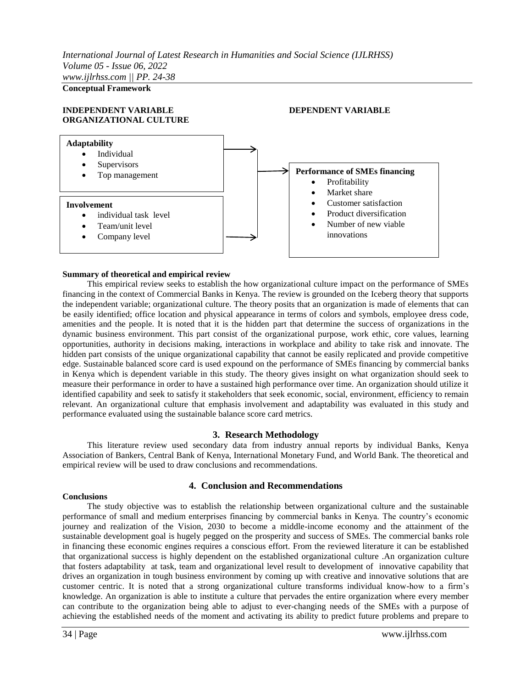**Conceptual Framework**

# **INDEPENDENT VARIABLE DEPENDENT VARIABLE ORGANIZATIONAL CULTURE**



#### **Summary of theoretical and empirical review**

This empirical review seeks to establish the how organizational culture impact on the performance of SMEs financing in the context of Commercial Banks in Kenya. The review is grounded on the Iceberg theory that supports the independent variable; organizational culture. The theory posits that an organization is made of elements that can be easily identified; office location and physical appearance in terms of colors and symbols, employee dress code, amenities and the people. It is noted that it is the hidden part that determine the success of organizations in the dynamic business environment. This part consist of the organizational purpose, work ethic, core values, learning opportunities, authority in decisions making, interactions in workplace and ability to take risk and innovate. The hidden part consists of the unique organizational capability that cannot be easily replicated and provide competitive edge. Sustainable balanced score card is used expound on the performance of SMEs financing by commercial banks in Kenya which is dependent variable in this study. The theory gives insight on what organization should seek to measure their performance in order to have a sustained high performance over time. An organization should utilize it identified capability and seek to satisfy it stakeholders that seek economic, social, environment, efficiency to remain relevant. An organizational culture that emphasis involvement and adaptability was evaluated in this study and performance evaluated using the sustainable balance score card metrics.

# **3. Research Methodology**

This literature review used secondary data from industry annual reports by individual Banks, Kenya Association of Bankers, Central Bank of Kenya, International Monetary Fund, and World Bank. The theoretical and empirical review will be used to draw conclusions and recommendations.

# **4. Conclusion and Recommendations**

#### **Conclusions**

The study objective was to establish the relationship between organizational culture and the sustainable performance of small and medium enterprises financing by commercial banks in Kenya. The country's economic journey and realization of the Vision, 2030 to become a middle-income economy and the attainment of the sustainable development goal is hugely pegged on the prosperity and success of SMEs. The commercial banks role in financing these economic engines requires a conscious effort. From the reviewed literature it can be established that organizational success is highly dependent on the established organizational culture .An organization culture that fosters adaptability at task, team and organizational level result to development of innovative capability that drives an organization in tough business environment by coming up with creative and innovative solutions that are customer centric. It is noted that a strong organizational culture transforms individual know-how to a firm's knowledge. An organization is able to institute a culture that pervades the entire organization where every member can contribute to the organization being able to adjust to ever-changing needs of the SMEs with a purpose of achieving the established needs of the moment and activating its ability to predict future problems and prepare to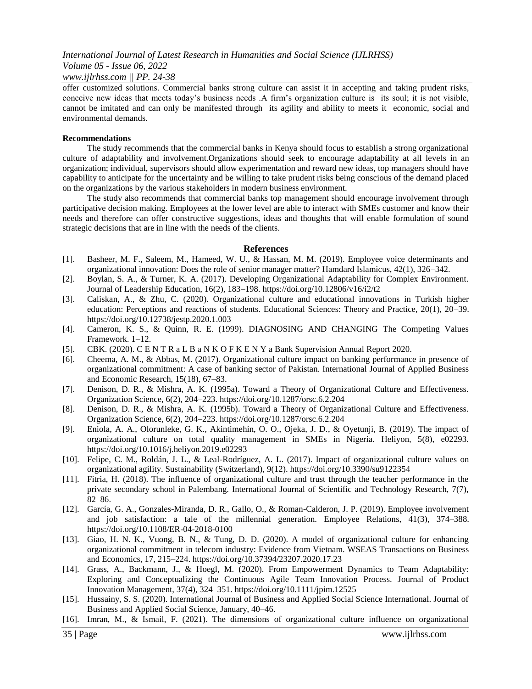# *International Journal of Latest Research in Humanities and Social Science (IJLRHSS) Volume 05 - Issue 06, 2022*

# *www.ijlrhss.com || PP. 24-38*

offer customized solutions. Commercial banks strong culture can assist it in accepting and taking prudent risks, conceive new ideas that meets today's business needs .A firm's organization culture is its soul; it is not visible, cannot be imitated and can only be manifested through its agility and ability to meets it economic, social and environmental demands.

#### **Recommendations**

The study recommends that the commercial banks in Kenya should focus to establish a strong organizational culture of adaptability and involvement.Organizations should seek to encourage adaptability at all levels in an organization; individual, supervisors should allow experimentation and reward new ideas, top managers should have capability to anticipate for the uncertainty and be willing to take prudent risks being conscious of the demand placed on the organizations by the various stakeholders in modern business environment.

The study also recommends that commercial banks top management should encourage involvement through participative decision making. Employees at the lower level are able to interact with SMEs customer and know their needs and therefore can offer constructive suggestions, ideas and thoughts that will enable formulation of sound strategic decisions that are in line with the needs of the clients.

# **References**

- [1]. Basheer, M. F., Saleem, M., Hameed, W. U., & Hassan, M. M. (2019). Employee voice determinants and organizational innovation: Does the role of senior manager matter? Hamdard Islamicus, 42(1), 326–342.
- [2]. Boylan, S. A., & Turner, K. A. (2017). Developing Organizational Adaptability for Complex Environment. Journal of Leadership Education, 16(2), 183–198. https://doi.org/10.12806/v16/i2/t2
- [3]. Caliskan, A., & Zhu, C. (2020). Organizational culture and educational innovations in Turkish higher education: Perceptions and reactions of students. Educational Sciences: Theory and Practice, 20(1), 20–39. https://doi.org/10.12738/jestp.2020.1.003
- [4]. Cameron, K. S., & Quinn, R. E. (1999). DIAGNOSING AND CHANGING The Competing Values Framework. 1–12.
- [5]. CBK. (2020). C E N T R a L B a N K O F K E N Y a Bank Supervision Annual Report 2020.
- [6]. Cheema, A. M., & Abbas, M. (2017). Organizational culture impact on banking performance in presence of organizational commitment: A case of banking sector of Pakistan. International Journal of Applied Business and Economic Research, 15(18), 67–83.
- [7]. Denison, D. R., & Mishra, A. K. (1995a). Toward a Theory of Organizational Culture and Effectiveness. Organization Science, 6(2), 204–223. https://doi.org/10.1287/orsc.6.2.204
- [8]. Denison, D. R., & Mishra, A. K. (1995b). Toward a Theory of Organizational Culture and Effectiveness. Organization Science, 6(2), 204–223. https://doi.org/10.1287/orsc.6.2.204
- [9]. Eniola, A. A., Olorunleke, G. K., Akintimehin, O. O., Ojeka, J. D., & Oyetunji, B. (2019). The impact of organizational culture on total quality management in SMEs in Nigeria. Heliyon, 5(8), e02293. https://doi.org/10.1016/j.heliyon.2019.e02293
- [10]. Felipe, C. M., Roldán, J. L., & Leal-Rodríguez, A. L. (2017). Impact of organizational culture values on organizational agility. Sustainability (Switzerland), 9(12). https://doi.org/10.3390/su9122354
- [11]. Fitria, H. (2018). The influence of organizational culture and trust through the teacher performance in the private secondary school in Palembang. International Journal of Scientific and Technology Research, 7(7), 82–86.
- [12]. García, G. A., Gonzales-Miranda, D. R., Gallo, O., & Roman-Calderon, J. P. (2019). Employee involvement and job satisfaction: a tale of the millennial generation. Employee Relations, 41(3), 374–388. https://doi.org/10.1108/ER-04-2018-0100
- [13]. Giao, H. N. K., Vuong, B. N., & Tung, D. D. (2020). A model of organizational culture for enhancing organizational commitment in telecom industry: Evidence from Vietnam. WSEAS Transactions on Business and Economics, 17, 215–224. https://doi.org/10.37394/23207.2020.17.23
- [14]. Grass, A., Backmann, J., & Hoegl, M. (2020). From Empowerment Dynamics to Team Adaptability: Exploring and Conceptualizing the Continuous Agile Team Innovation Process. Journal of Product Innovation Management, 37(4), 324–351. https://doi.org/10.1111/jpim.12525
- [15]. Hussainy, S. S. (2020). International Journal of Business and Applied Social Science International. Journal of Business and Applied Social Science, January, 40–46.
- [16]. Imran, M., & Ismail, F. (2021). The dimensions of organizational culture influence on organizational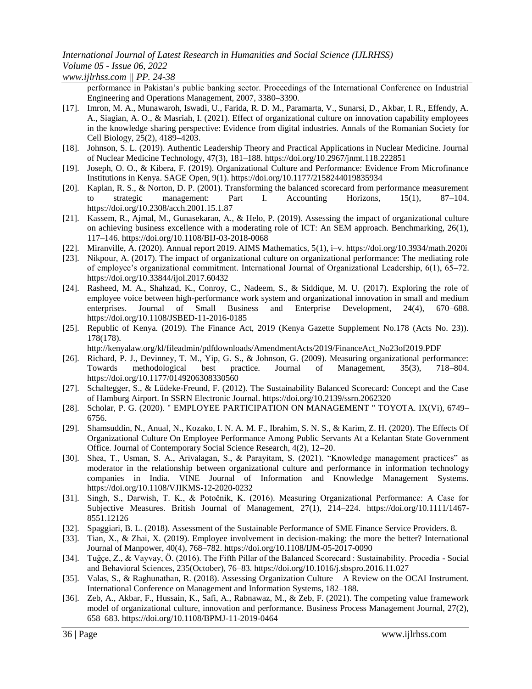# *International Journal of Latest Research in Humanities and Social Science (IJLRHSS)*

*Volume 05 - Issue 06, 2022 www.ijlrhss.com || PP. 24-38*

> performance in Pakistan's public banking sector. Proceedings of the International Conference on Industrial Engineering and Operations Management, 2007, 3380–3390.

- [17]. Imron, M. A., Munawaroh, Iswadi, U., Farida, R. D. M., Paramarta, V., Sunarsi, D., Akbar, I. R., Effendy, A. A., Siagian, A. O., & Masriah, I. (2021). Effect of organizational culture on innovation capability employees in the knowledge sharing perspective: Evidence from digital industries. Annals of the Romanian Society for Cell Biology, 25(2), 4189–4203.
- [18]. Johnson, S. L. (2019). Authentic Leadership Theory and Practical Applications in Nuclear Medicine. Journal of Nuclear Medicine Technology, 47(3), 181–188. https://doi.org/10.2967/jnmt.118.222851
- [19]. Joseph, O. O., & Kibera, F. (2019). Organizational Culture and Performance: Evidence From Microfinance Institutions in Kenya. SAGE Open, 9(1). https://doi.org/10.1177/2158244019835934
- [20]. Kaplan, R. S., & Norton, D. P. (2001). Transforming the balanced scorecard from performance measurement to strategic management: Part I. Accounting Horizons, 15(1), 87–104. https://doi.org/10.2308/acch.2001.15.1.87
- [21]. Kassem, R., Ajmal, M., Gunasekaran, A., & Helo, P. (2019). Assessing the impact of organizational culture on achieving business excellence with a moderating role of ICT: An SEM approach. Benchmarking, 26(1), 117–146. https://doi.org/10.1108/BIJ-03-2018-0068
- [22]. Miranville, A. (2020). Annual report 2019. AIMS Mathematics, 5(1), i–v. https://doi.org/10.3934/math.2020i
- [23]. Nikpour, A. (2017). The impact of organizational culture on organizational performance: The mediating role of employee's organizational commitment. International Journal of Organizational Leadership, 6(1), 65–72. https://doi.org/10.33844/ijol.2017.60432
- [24]. Rasheed, M. A., Shahzad, K., Conroy, C., Nadeem, S., & Siddique, M. U. (2017). Exploring the role of employee voice between high-performance work system and organizational innovation in small and medium enterprises. Journal of Small Business and Enterprise Development, 24(4), 670–688. https://doi.org/10.1108/JSBED-11-2016-0185
- [25]. Republic of Kenya. (2019). The Finance Act, 2019 (Kenya Gazette Supplement No.178 (Acts No. 23)). 178(178).

http://kenyalaw.org/kl/fileadmin/pdfdownloads/AmendmentActs/2019/FinanceAct\_No23of2019.PDF

- [26]. Richard, P. J., Devinney, T. M., Yip, G. S., & Johnson, G. (2009). Measuring organizational performance: Towards methodological best practice. Journal of Management, 35(3), 718–804. https://doi.org/10.1177/0149206308330560
- [27]. Schaltegger, S., & Lüdeke-Freund, F. (2012). The Sustainability Balanced Scorecard: Concept and the Case of Hamburg Airport. In SSRN Electronic Journal. https://doi.org/10.2139/ssrn.2062320
- [28]. Scholar, P. G. (2020). " EMPLOYEE PARTICIPATION ON MANAGEMENT " TOYOTA. IX(Vi), 6749– 6756.
- [29]. Shamsuddin, N., Anual, N., Kozako, I. N. A. M. F., Ibrahim, S. N. S., & Karim, Z. H. (2020). The Effects Of Organizational Culture On Employee Performance Among Public Servants At a Kelantan State Government Office. Journal of Contemporary Social Science Research, 4(2), 12–20.
- [30]. Shea, T., Usman, S. A., Arivalagan, S., & Parayitam, S. (2021). "Knowledge management practices" as moderator in the relationship between organizational culture and performance in information technology companies in India. VINE Journal of Information and Knowledge Management Systems. https://doi.org/10.1108/VJIKMS-12-2020-0232
- [31]. Singh, S., Darwish, T. K., & Potočnik, K. (2016). Measuring Organizational Performance: A Case for Subjective Measures. British Journal of Management, 27(1), 214–224. https://doi.org/10.1111/1467- 8551.12126
- [32]. Spaggiari, B. L. (2018). Assessment of the Sustainable Performance of SME Finance Service Providers. 8.
- [33]. Tian, X., & Zhai, X. (2019). Employee involvement in decision-making: the more the better? International Journal of Manpower, 40(4), 768–782. https://doi.org/10.1108/IJM-05-2017-0090
- [34]. Tuğçe, Z., & Vayvay, Ö. (2016). The Fifth Pillar of the Balanced Scorecard : Sustainability. Procedia Social and Behavioral Sciences, 235(October), 76–83. https://doi.org/10.1016/j.sbspro.2016.11.027
- [35]. Valas, S., & Raghunathan, R. (2018). Assessing Organization Culture A Review on the OCAI Instrument. International Conference on Management and Information Systems, 182–188.
- [36]. Zeb, A., Akbar, F., Hussain, K., Safi, A., Rabnawaz, M., & Zeb, F. (2021). The competing value framework model of organizational culture, innovation and performance. Business Process Management Journal, 27(2), 658–683. https://doi.org/10.1108/BPMJ-11-2019-0464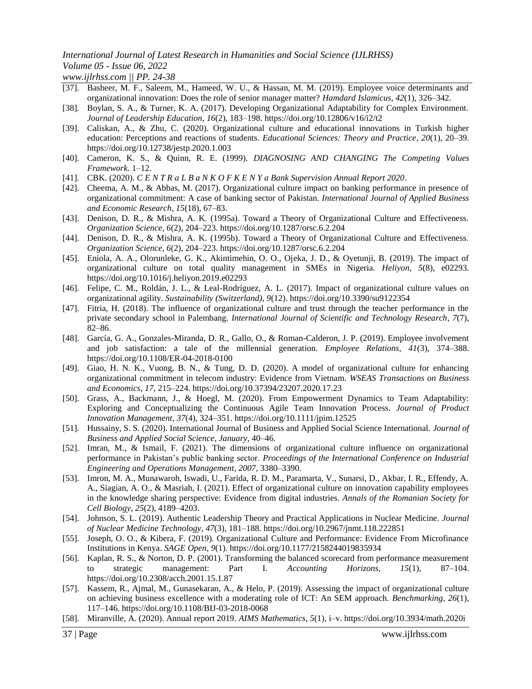# *International Journal of Latest Research in Humanities and Social Science (IJLRHSS) Volume 05 - Issue 06, 2022*

*www.ijlrhss.com || PP. 24-38*

- [37]. Basheer, M. F., Saleem, M., Hameed, W. U., & Hassan, M. M. (2019). Employee voice determinants and organizational innovation: Does the role of senior manager matter? *Hamdard Islamicus*, *42*(1), 326–342.
- [38]. Boylan, S. A., & Turner, K. A. (2017). Developing Organizational Adaptability for Complex Environment. *Journal of Leadership Education*, *16*(2), 183–198. https://doi.org/10.12806/v16/i2/t2
- [39]. Caliskan, A., & Zhu, C. (2020). Organizational culture and educational innovations in Turkish higher education: Perceptions and reactions of students. *Educational Sciences: Theory and Practice*, *20*(1), 20–39. https://doi.org/10.12738/jestp.2020.1.003
- [40]. Cameron, K. S., & Quinn, R. E. (1999). *DIAGNOSING AND CHANGING The Competing Values Framework*. 1–12.
- [41]. CBK. (2020). *C E N T R a L B a N K O F K E N Y a Bank Supervision Annual Report 2020*.
- [42]. Cheema, A. M., & Abbas, M. (2017). Organizational culture impact on banking performance in presence of organizational commitment: A case of banking sector of Pakistan. *International Journal of Applied Business and Economic Research*, *15*(18), 67–83.
- [43]. Denison, D. R., & Mishra, A. K. (1995a). Toward a Theory of Organizational Culture and Effectiveness. *Organization Science*, *6*(2), 204–223. https://doi.org/10.1287/orsc.6.2.204
- [44]. Denison, D. R., & Mishra, A. K. (1995b). Toward a Theory of Organizational Culture and Effectiveness. *Organization Science*, *6*(2), 204–223. https://doi.org/10.1287/orsc.6.2.204
- [45]. Eniola, A. A., Olorunleke, G. K., Akintimehin, O. O., Ojeka, J. D., & Oyetunji, B. (2019). The impact of organizational culture on total quality management in SMEs in Nigeria. *Heliyon*, *5*(8), e02293. https://doi.org/10.1016/j.heliyon.2019.e02293
- [46]. Felipe, C. M., Roldán, J. L., & Leal-Rodríguez, A. L. (2017). Impact of organizational culture values on organizational agility. *Sustainability (Switzerland)*, *9*(12). https://doi.org/10.3390/su9122354
- [47]. Fitria, H. (2018). The influence of organizational culture and trust through the teacher performance in the private secondary school in Palembang. *International Journal of Scientific and Technology Research*, *7*(7), 82–86.
- [48]. García, G. A., Gonzales-Miranda, D. R., Gallo, O., & Roman-Calderon, J. P. (2019). Employee involvement and job satisfaction: a tale of the millennial generation. *Employee Relations*, *41*(3), 374–388. https://doi.org/10.1108/ER-04-2018-0100
- [49]. Giao, H. N. K., Vuong, B. N., & Tung, D. D. (2020). A model of organizational culture for enhancing organizational commitment in telecom industry: Evidence from Vietnam. *WSEAS Transactions on Business and Economics*, *17*, 215–224. https://doi.org/10.37394/23207.2020.17.23
- [50]. Grass, A., Backmann, J., & Hoegl, M. (2020). From Empowerment Dynamics to Team Adaptability: Exploring and Conceptualizing the Continuous Agile Team Innovation Process. *Journal of Product Innovation Management*, *37*(4), 324–351. https://doi.org/10.1111/jpim.12525
- [51]. Hussainy, S. S. (2020). International Journal of Business and Applied Social Science International. *Journal of Business and Applied Social Science*, *January*, 40–46.
- [52]. Imran, M., & Ismail, F. (2021). The dimensions of organizational culture influence on organizational performance in Pakistan's public banking sector. *Proceedings of the International Conference on Industrial Engineering and Operations Management*, *2007*, 3380–3390.
- [53]. Imron, M. A., Munawaroh, Iswadi, U., Farida, R. D. M., Paramarta, V., Sunarsi, D., Akbar, I. R., Effendy, A. A., Siagian, A. O., & Masriah, I. (2021). Effect of organizational culture on innovation capability employees in the knowledge sharing perspective: Evidence from digital industries. *Annals of the Romanian Society for Cell Biology*, *25*(2), 4189–4203.
- [54]. Johnson, S. L. (2019). Authentic Leadership Theory and Practical Applications in Nuclear Medicine. *Journal of Nuclear Medicine Technology*, *47*(3), 181–188. https://doi.org/10.2967/jnmt.118.222851
- [55]. Joseph, O. O., & Kibera, F. (2019). Organizational Culture and Performance: Evidence From Microfinance Institutions in Kenya. *SAGE Open*, *9*(1). https://doi.org/10.1177/2158244019835934
- [56]. Kaplan, R. S., & Norton, D. P. (2001). Transforming the balanced scorecard from performance measurement to strategic management: Part I. *Accounting Horizons*, *15*(1), 87–104. https://doi.org/10.2308/acch.2001.15.1.87
- [57]. Kassem, R., Ajmal, M., Gunasekaran, A., & Helo, P. (2019). Assessing the impact of organizational culture on achieving business excellence with a moderating role of ICT: An SEM approach. *Benchmarking*, *26*(1), 117–146. https://doi.org/10.1108/BIJ-03-2018-0068
- [58]. Miranville, A. (2020). Annual report 2019. *AIMS Mathematics*, *5*(1), i–v. https://doi.org/10.3934/math.2020i